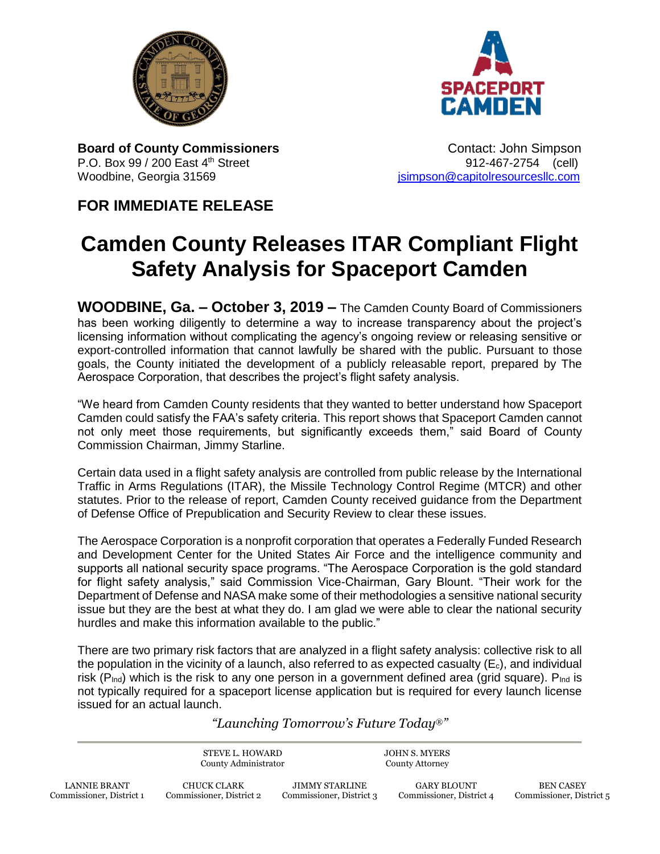



**Board of County Commissioners 1988 Contact: John Simpson** P.O. Box 99 / 200 East 4th Street 912-467-2754 (cell) Woodbine, Georgia 31569 **journalist entity of the Capitolresourcesllc.com** is impson@capitolresourcesllc.com

## **FOR IMMEDIATE RELEASE**

Commissioner, District 1

## **Camden County Releases ITAR Compliant Flight Safety Analysis for Spaceport Camden**

**WOODBINE, Ga. – October 3, 2019 –** The Camden County Board of Commissioners has been working diligently to determine a way to increase transparency about the project's licensing information without complicating the agency's ongoing review or releasing sensitive or export-controlled information that cannot lawfully be shared with the public. Pursuant to those goals, the County initiated the development of a publicly releasable report, prepared by The Aerospace Corporation, that describes the project's flight safety analysis.

"We heard from Camden County residents that they wanted to better understand how Spaceport Camden could satisfy the FAA's safety criteria. This report shows that Spaceport Camden cannot not only meet those requirements, but significantly exceeds them," said Board of County Commission Chairman, Jimmy Starline.

Certain data used in a flight safety analysis are controlled from public release by the International Traffic in Arms Regulations (ITAR), the Missile Technology Control Regime (MTCR) and other statutes. Prior to the release of report, Camden County received guidance from the Department of Defense Office of Prepublication and Security Review to clear these issues.

The Aerospace Corporation is a nonprofit corporation that operates a Federally Funded Research and Development Center for the United States Air Force and the intelligence community and supports all national security space programs. "The Aerospace Corporation is the gold standard for flight safety analysis," said Commission Vice-Chairman, Gary Blount. "Their work for the Department of Defense and NASA make some of their methodologies a sensitive national security issue but they are the best at what they do. I am glad we were able to clear the national security hurdles and make this information available to the public."

There are two primary risk factors that are analyzed in a flight safety analysis: collective risk to all the population in the vicinity of a launch, also referred to as expected casualty  $(E_c)$ , and individual risk ( $P_{\text{ind}}$ ) which is the risk to any one person in a government defined area (grid square).  $P_{\text{Ind}}$  is not typically required for a spaceport license application but is required for every launch license issued for an actual launch.

*"Launching Tomorrow's Future Today*®*"*

Commissioner, District 3

Commissioner, District 4

Commissioner, District 5

|                     | STEVE L. HOWARD<br>County Administrator |                       | JOHN S. MYERS<br><b>County Attorney</b> |                  |
|---------------------|-----------------------------------------|-----------------------|-----------------------------------------|------------------|
| <b>LANNIE BRANT</b> | CHUCK CLARK                             | <b>JIMMY STARLINE</b> | GARY BLOUNT                             | <b>BEN CASEY</b> |

Commissioner, District 2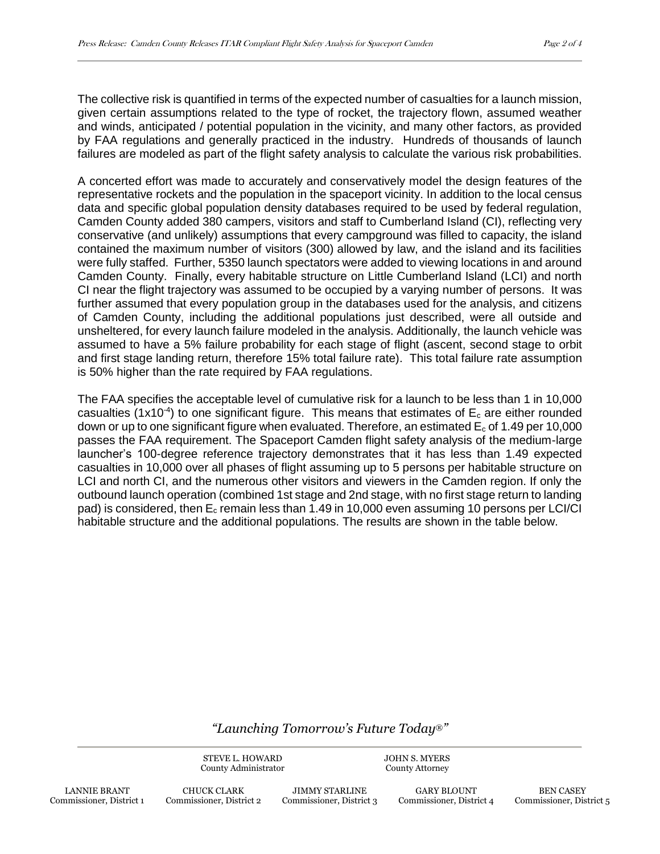The collective risk is quantified in terms of the expected number of casualties for a launch mission, given certain assumptions related to the type of rocket, the trajectory flown, assumed weather and winds, anticipated / potential population in the vicinity, and many other factors, as provided by FAA regulations and generally practiced in the industry. Hundreds of thousands of launch failures are modeled as part of the flight safety analysis to calculate the various risk probabilities.

A concerted effort was made to accurately and conservatively model the design features of the representative rockets and the population in the spaceport vicinity. In addition to the local census data and specific global population density databases required to be used by federal regulation, Camden County added 380 campers, visitors and staff to Cumberland Island (CI), reflecting very conservative (and unlikely) assumptions that every campground was filled to capacity, the island contained the maximum number of visitors (300) allowed by law, and the island and its facilities were fully staffed. Further, 5350 launch spectators were added to viewing locations in and around Camden County. Finally, every habitable structure on Little Cumberland Island (LCI) and north CI near the flight trajectory was assumed to be occupied by a varying number of persons. It was further assumed that every population group in the databases used for the analysis, and citizens of Camden County, including the additional populations just described, were all outside and unsheltered, for every launch failure modeled in the analysis. Additionally, the launch vehicle was assumed to have a 5% failure probability for each stage of flight (ascent, second stage to orbit and first stage landing return, therefore 15% total failure rate). This total failure rate assumption is 50% higher than the rate required by FAA regulations.

The FAA specifies the acceptable level of cumulative risk for a launch to be less than 1 in 10,000 casualties (1x10<sup>-4</sup>) to one significant figure. This means that estimates of  $E_c$  are either rounded down or up to one significant figure when evaluated. Therefore, an estimated  $E_c$  of 1.49 per 10,000 passes the FAA requirement. The Spaceport Camden flight safety analysis of the medium-large launcher's 100-degree reference trajectory demonstrates that it has less than 1.49 expected casualties in 10,000 over all phases of flight assuming up to 5 persons per habitable structure on LCI and north CI, and the numerous other visitors and viewers in the Camden region. If only the outbound launch operation (combined 1st stage and 2nd stage, with no first stage return to landing pad) is considered, then  $E_c$  remain less than 1.49 in 10,000 even assuming 10 persons per LCI/CI habitable structure and the additional populations. The results are shown in the table below.

## *"Launching Tomorrow's Future Today*®*"*

STEVE L. HOWARD County Administrator JOHN S. MYERS County Attorney

CHUCK CLARK Commissioner, District 2

JIMMY STARLINE Commissioner, District 3

GARY BLOUNT Commissioner, District 4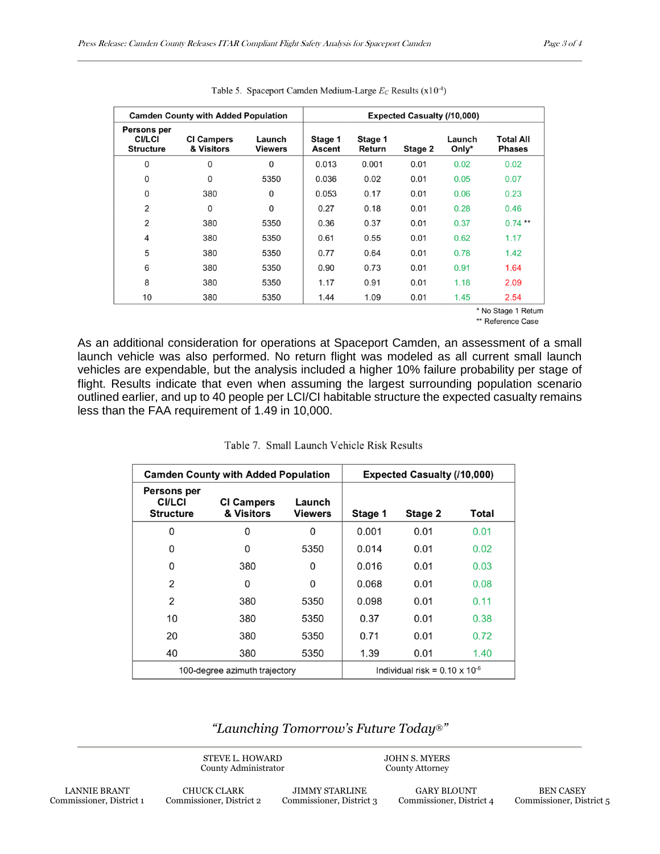| <b>Camden County with Added Population</b>       |                                 |                          | <b>Expected Casualty (/10,000)</b> |                   |         |                    |                                   |
|--------------------------------------------------|---------------------------------|--------------------------|------------------------------------|-------------------|---------|--------------------|-----------------------------------|
| Persons per<br><b>CI/LCI</b><br><b>Structure</b> | <b>CI Campers</b><br>& Visitors | Launch<br><b>Viewers</b> | Stage 1<br>Ascent                  | Stage 1<br>Return | Stage 2 | Launch<br>Only $*$ | <b>Total All</b><br><b>Phases</b> |
| 0                                                | 0                               | $\Omega$                 | 0.013                              | 0.001             | 0.01    | 0.02               | 0.02                              |
| $\mathbf{0}$                                     | 0                               | 5350                     | 0.036                              | 0.02              | 0.01    | 0.05               | 0.07                              |
| $\Omega$                                         | 380                             | $\Omega$                 | 0.053                              | 0.17              | 0.01    | 0.06               | 0.23                              |
| 2                                                | 0                               | $\Omega$                 | 0.27                               | 0.18              | 0.01    | 0.28               | 0.46                              |
| 2                                                | 380                             | 5350                     | 0.36                               | 0.37              | 0.01    | 0.37               | $0.74$ **                         |
| 4                                                | 380                             | 5350                     | 0.61                               | 0.55              | 0.01    | 0.62               | 1.17                              |
| 5                                                | 380                             | 5350                     | 0.77                               | 0.64              | 0.01    | 0.78               | 1.42                              |
| 6                                                | 380                             | 5350                     | 0.90                               | 0.73              | 0.01    | 0.91               | 1.64                              |
| 8                                                | 380                             | 5350                     | 1.17                               | 0.91              | 0.01    | 1.18               | 2.09                              |
| 10                                               | 380                             | 5350                     | 1.44                               | 1.09              | 0.01    | 1.45               | 2.54                              |

Table 5. Spaceport Camden Medium-Large  $E_c$  Results (x10<sup>-4</sup>)

\* No Stage 1 Return \*\* Reference Case

As an additional consideration for operations at Spaceport Camden, an assessment of a small launch vehicle was also performed. No return flight was modeled as all current small launch vehicles are expendable, but the analysis included a higher 10% failure probability per stage of flight. Results indicate that even when assuming the largest surrounding population scenario outlined earlier, and up to 40 people per LCI/CI habitable structure the expected casualty remains less than the FAA requirement of 1.49 in 10,000.

| Table 7. Small Launch Vehicle Risk Results |  |  |  |
|--------------------------------------------|--|--|--|
|                                            |  |  |  |

| <b>Camden County with Added Population</b>       |                                 |                          | <b>Expected Casualty (/10,000)</b>      |         |       |
|--------------------------------------------------|---------------------------------|--------------------------|-----------------------------------------|---------|-------|
| Persons per<br><b>CI/LCI</b><br><b>Structure</b> | <b>CI Campers</b><br>& Visitors | Launch<br><b>Viewers</b> | Stage 1                                 | Stage 2 | Total |
| 0                                                | $\Omega$                        | 0                        | 0.001                                   | 0.01    | 0.01  |
| 0                                                | 0                               | 5350                     | 0.014                                   | 0.01    | 0.02  |
| 0                                                | 380                             | 0                        | 0.016                                   | 0.01    | 0.03  |
| $\overline{2}$                                   | 0                               | $\Omega$                 | 0.068                                   | 0.01    | 0.08  |
| 2                                                | 380                             | 5350                     | 0.098                                   | 0.01    | 0.11  |
| 10                                               | 380                             | 5350                     | 0.37                                    | 0.01    | 0.38  |
| 20                                               | 380                             | 5350                     | 0.71                                    | 0.01    | 0.72  |
| 40                                               | 380                             | 5350                     | 1.39                                    | 0.01    | 1.40  |
| 100-degree azimuth trajectory                    |                                 |                          | Individual risk = $0.10 \times 10^{-6}$ |         |       |

*"Launching Tomorrow's Future Today*®*"*

STEVE L. HOWARD County Administrator JOHN S. MYERS County Attorney

CHUCK CLARK Commissioner, District 2

JIMMY STARLINE Commissioner, District 3

GARY BLOUNT Commissioner, District 4